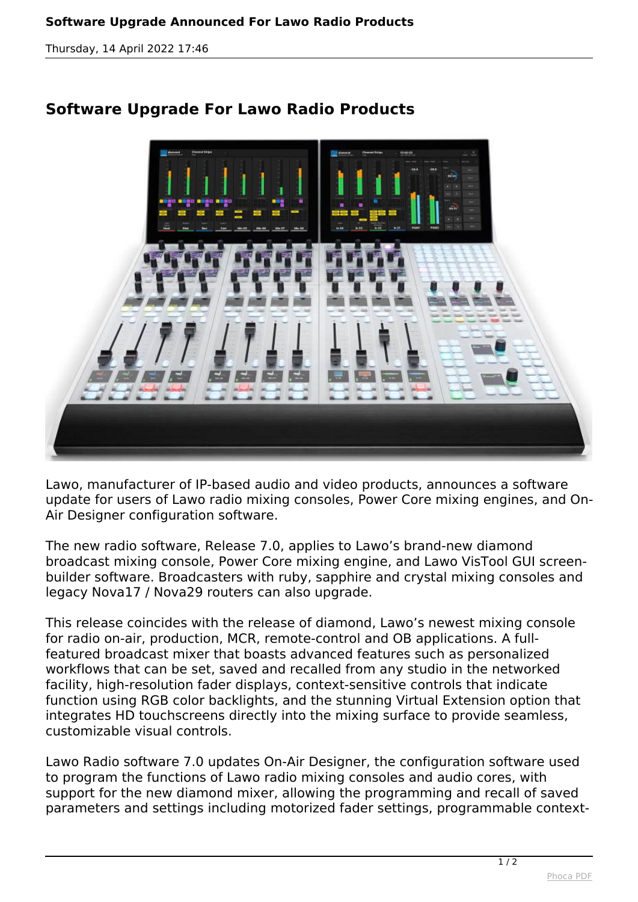*Thursday, 14 April 2022 17:46*



## **Software Upgrade For Lawo Radio Products**

*Lawo, manufacturer of IP-based audio and video products, announces a software update for users of Lawo radio mixing consoles, Power Core mixing engines, and On-Air Designer configuration software.*

*The new radio software, Release 7.0, applies to Lawo's brand-new diamond broadcast mixing console, Power Core mixing engine, and Lawo VisTool GUI screenbuilder software. Broadcasters with ruby, sapphire and crystal mixing consoles and legacy Nova17 / Nova29 routers can also upgrade.*

*This release coincides with the release of diamond, Lawo's newest mixing console for radio on-air, production, MCR, remote-control and OB applications. A fullfeatured broadcast mixer that boasts advanced features such as personalized workflows that can be set, saved and recalled from any studio in the networked facility, high-resolution fader displays, context-sensitive controls that indicate function using RGB color backlights, and the stunning Virtual Extension option that integrates HD touchscreens directly into the mixing surface to provide seamless, customizable visual controls.*

*Lawo Radio software 7.0 updates On-Air Designer, the configuration software used to program the functions of Lawo radio mixing consoles and audio cores, with support for the new diamond mixer, allowing the programming and recall of saved parameters and settings including motorized fader settings, programmable context-*